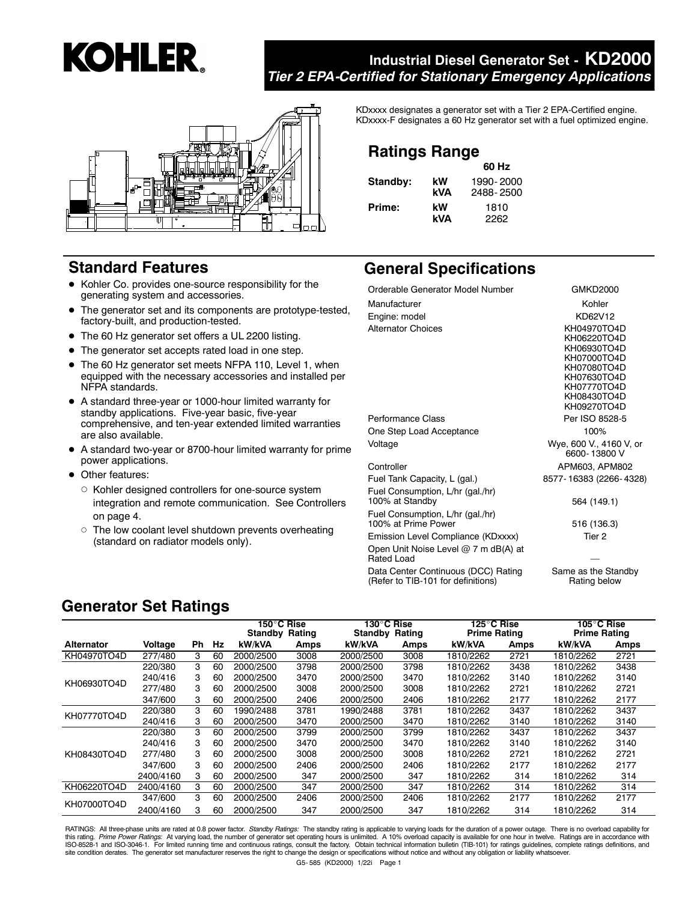# **KOHLER.**

# **Industrial Diesel Generator Set - KD2000** *Tier 2 EPA-Certified for Stationary Emergency Applications*



# **Standard Features**

- Kohler Co. provides one-source responsibility for the generating system and accessories.
- The generator set and its components are prototype-tested, factory-built, and production-tested.
- The 60 Hz generator set offers a UL 2200 listing.
- The generator set accepts rated load in one step.
- The 60 Hz generator set meets NFPA 110, Level 1, when equipped with the necessary accessories and installed per NFPA standards.
- A standard three-year or 1000-hour limited warranty for standby applications. Five-year basic, five-year comprehensive, and ten-year extended limited warranties are also available.
- A standard two-year or 8700-hour limited warranty for prime power applications.
- Other features:
	- Kohler designed controllers for one-source system integration and remote communication. See Controllers on page 4.
	- o The low coolant level shutdown prevents overheating (standard on radiator models only).

KDxxxx designates a generator set with a Tier 2 EPA-Certified engine. KDxxxx-F designates a 60 Hz generator set with a fuel optimized engine.

# **Ratings Range**

|          |     | 60 Hz     |
|----------|-----|-----------|
| Standby: | kW  | 1990-2000 |
|          | kVA | 2488-2500 |
| Prime:   | kW  | 1810      |
|          | kVA | 2262      |

# **General Specifications**

| Orderable Generator Model Number                                          | <b>GMKD2000</b>                                                                                                                     |
|---------------------------------------------------------------------------|-------------------------------------------------------------------------------------------------------------------------------------|
| Manufacturer                                                              | Kohler                                                                                                                              |
| Engine: model                                                             | KD62V12                                                                                                                             |
| <b>Alternator Choices</b>                                                 | KH04970TO4D<br>KH06220TO4D<br>KH06930TO4D<br>KH07000TO4D<br>KH07080TO4D<br>KH07630TO4D<br>KH07770TO4D<br>KH08430TO4D<br>KH09270TO4D |
| Performance Class                                                         | Per ISO 8528-5                                                                                                                      |
| One Step Load Acceptance                                                  | 100%                                                                                                                                |
| Voltage                                                                   | Wye, 600 V., 4160 V, or<br>6600-13800 V                                                                                             |
| Controller                                                                | APM603, APM802                                                                                                                      |
| Fuel Tank Capacity, L (gal.)                                              | 8577-16383 (2266-4328)                                                                                                              |
| Fuel Consumption, L/hr (gal./hr)<br>100% at Standby                       | 564 (149.1)                                                                                                                         |
| Fuel Consumption, L/hr (gal./hr)<br>100% at Prime Power                   | 516 (136.3)                                                                                                                         |
| Emission Level Compliance (KDxxxx)                                        | Tier 2                                                                                                                              |
| Open Unit Noise Level @ 7 m dB(A) at<br>Rated Load                        |                                                                                                                                     |
| Data Center Continuous (DCC) Rating<br>(Refer to TIB-101 for definitions) | Same as the Standby<br>Rating below                                                                                                 |

# **Generator Set Ratings**

|                   |           |    |    | 150°C Rise<br><b>Standby Rating</b> |      | 130°C Rise<br><b>Standby Rating</b> |      | 125°C Rise<br><b>Prime Rating</b> |      | 105°C Rise<br><b>Prime Rating</b> |      |
|-------------------|-----------|----|----|-------------------------------------|------|-------------------------------------|------|-----------------------------------|------|-----------------------------------|------|
| <b>Alternator</b> | Voltage   | Ph | Hz | kW/kVA                              | Amps | kW/kVA                              | Amps | kW/kVA                            | Amps | kW/kVA                            | Amps |
| KH04970TO4D       | 277/480   | 3  | 60 | 2000/2500                           | 3008 | 2000/2500                           | 3008 | 1810/2262                         | 2721 | 1810/2262                         | 2721 |
|                   | 220/380   | 3  | 60 | 2000/2500                           | 3798 | 2000/2500                           | 3798 | 1810/2262                         | 3438 | 1810/2262                         | 3438 |
| KH06930TO4D       | 240/416   | 3  | 60 | 2000/2500                           | 3470 | 2000/2500                           | 3470 | 1810/2262                         | 3140 | 1810/2262                         | 3140 |
|                   | 277/480   | 3  | 60 | 2000/2500                           | 3008 | 2000/2500                           | 3008 | 1810/2262                         | 2721 | 1810/2262                         | 2721 |
|                   | 347/600   | 3  | 60 | 2000/2500                           | 2406 | 2000/2500                           | 2406 | 1810/2262                         | 2177 | 1810/2262                         | 2177 |
| KH07770TO4D       | 220/380   | 3  | 60 | 1990/2488                           | 3781 | 1990/2488                           | 3781 | 1810/2262                         | 3437 | 1810/2262                         | 3437 |
|                   | 240/416   | 3  | 60 | 2000/2500                           | 3470 | 2000/2500                           | 3470 | 1810/2262                         | 3140 | 1810/2262                         | 3140 |
|                   | 220/380   | 3  | 60 | 2000/2500                           | 3799 | 2000/2500                           | 3799 | 1810/2262                         | 3437 | 1810/2262                         | 3437 |
|                   | 240/416   | 3  | 60 | 2000/2500                           | 3470 | 2000/2500                           | 3470 | 1810/2262                         | 3140 | 1810/2262                         | 3140 |
| KH08430TO4D       | 277/480   | 3  | 60 | 2000/2500                           | 3008 | 2000/2500                           | 3008 | 1810/2262                         | 2721 | 1810/2262                         | 2721 |
|                   | 347/600   | 3  | 60 | 2000/2500                           | 2406 | 2000/2500                           | 2406 | 1810/2262                         | 2177 | 1810/2262                         | 2177 |
|                   | 2400/4160 | 3  | 60 | 2000/2500                           | 347  | 2000/2500                           | 347  | 1810/2262                         | 314  | 1810/2262                         | 314  |
| KH06220TO4D       | 2400/4160 | 3  | 60 | 2000/2500                           | 347  | 2000/2500                           | 347  | 1810/2262                         | 314  | 1810/2262                         | 314  |
|                   | 347/600   | 3  | 60 | 2000/2500                           | 2406 | 2000/2500                           | 2406 | 1810/2262                         | 2177 | 1810/2262                         | 2177 |
| KH07000TO4D       | 2400/4160 | 3  | 60 | 2000/2500                           | 347  | 2000/2500                           | 347  | 1810/2262                         | 314  | 1810/2262                         | 314  |

RATINGS: All three-phase units are rated at 0.8 power factor. Standby Ratings: The standby rating is applicable to varying loads for the duration of a power outage. There is no overload capability for this rating. *Prime Power Ratings*: At varying load, the number of generator set operating hours is unlimited. A 10% overload capacity is available for one hour in twelve. Ratings are in accordance with<br>ISO-8528-1 and ISOsite condition derates. The generator set manufacturer reserves the right to change the design or specifications without notice and without any obligation or liability whatsoever.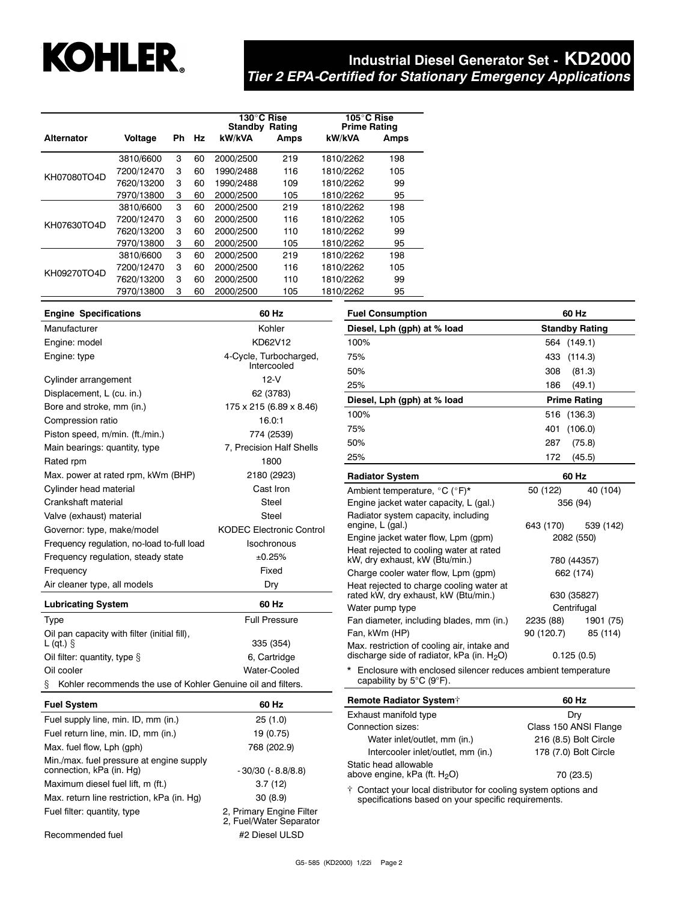# **KOHLER**

# **Industrial Diesel Generator Set - KD2000** *Tier 2 EPA-Certified for Stationary Emergency Applications*

|                   |            |    |    | 130°C Rise<br>Standby | <b>Rating</b> | 105°C Rise<br><b>Prime Rating</b> |      |
|-------------------|------------|----|----|-----------------------|---------------|-----------------------------------|------|
| <b>Alternator</b> | Voltage    | Ph | Hz | kW/kVA                | Amps          | kW/kVA                            | Amps |
|                   | 3810/6600  | 3  | 60 | 2000/2500             | 219           | 1810/2262                         | 198  |
|                   | 7200/12470 | 3  | 60 | 1990/2488             | 116           | 1810/2262                         | 105  |
| KH07080TO4D       | 7620/13200 | 3  | 60 | 1990/2488             | 109           | 1810/2262                         | 99   |
|                   | 7970/13800 | 3  | 60 | 2000/2500             | 105           | 1810/2262                         | 95   |
|                   | 3810/6600  | 3  | 60 | 2000/2500             | 219           | 1810/2262                         | 198  |
| KH07630TO4D       | 7200/12470 | 3  | 60 | 2000/2500             | 116           | 1810/2262                         | 105  |
|                   | 7620/13200 | 3  | 60 | 2000/2500             | 110           | 1810/2262                         | 99   |
|                   | 7970/13800 | 3  | 60 | 2000/2500             | 105           | 1810/2262                         | 95   |
|                   | 3810/6600  | 3  | 60 | 2000/2500             | 219           | 1810/2262                         | 198  |
| KH09270TO4D       | 7200/12470 | 3  | 60 | 2000/2500             | 116           | 1810/2262                         | 105  |
|                   | 7620/13200 | 3  | 60 | 2000/2500             | 110           | 1810/2262                         | 99   |
|                   | 7970/13800 | 3  | 60 | 2000/2500             | 105           | 1810/2262                         | 95   |

| <b>Engine Specifications</b>                                      | 60 Hz                           | 60 Hz<br><b>Fuel Consumption</b>                                          |                                                  |  |
|-------------------------------------------------------------------|---------------------------------|---------------------------------------------------------------------------|--------------------------------------------------|--|
| Kohler<br>Manufacturer                                            |                                 | Diesel, Lph (gph) at % load                                               | <b>Standby Rating</b>                            |  |
| Engine: model                                                     | KD62V12                         | 100%                                                                      | (149.1)<br>564                                   |  |
| Engine: type                                                      | 4-Cycle, Turbocharged,          | 75%                                                                       | 433<br>(114.3)                                   |  |
|                                                                   | Intercooled                     | 50%                                                                       | (81.3)<br>308                                    |  |
| Cylinder arrangement                                              | $12-V$                          | 25%                                                                       | (49.1)<br>186                                    |  |
| Displacement, L (cu. in.)                                         | 62 (3783)                       | Diesel, Lph (gph) at % load                                               | <b>Prime Rating</b>                              |  |
| Bore and stroke, mm (in.)                                         | 175 x 215 (6.89 x 8.46)         | 100%                                                                      | 516 (136.3)                                      |  |
| Compression ratio                                                 | 16.0:1                          | 75%                                                                       | 401<br>(106.0)                                   |  |
| Piston speed, m/min. (ft./min.)                                   | 774 (2539)                      |                                                                           |                                                  |  |
| Main bearings: quantity, type                                     | 7, Precision Half Shells        | 50%                                                                       | (75.8)<br>287                                    |  |
| Rated rpm                                                         | 1800                            | 25%                                                                       | 172<br>(45.5)                                    |  |
| Max. power at rated rpm, kWm (BHP)                                | 2180 (2923)                     | <b>Radiator System</b>                                                    | 60 Hz                                            |  |
| Cylinder head material                                            | Cast Iron                       | Ambient temperature, °C (°F)*                                             | 50 (122)<br>40 (104)                             |  |
| Crankshaft material                                               | Steel                           | Engine jacket water capacity, L (gal.)                                    | 356 (94)                                         |  |
| Valve (exhaust) material                                          | Steel                           | Radiator system capacity, including                                       |                                                  |  |
| Governor: type, make/model                                        | <b>KODEC Electronic Control</b> | engine, L (gal.)                                                          | 643 (170)<br>539 (142)                           |  |
| Frequency regulation, no-load to-full load                        | Isochronous                     | Engine jacket water flow, Lpm (gpm)                                       | 2082 (550)                                       |  |
| ±0.25%<br>Frequency regulation, steady state                      |                                 | Heat rejected to cooling water at rated<br>kW, dry exhaust, kW (Btu/min.) | 780 (44357)                                      |  |
| Frequency                                                         | Fixed                           | Charge cooler water flow, Lpm (qpm)                                       | 662 (174)                                        |  |
| Air cleaner type, all models                                      | Dry                             | Heat rejected to charge cooling water at                                  |                                                  |  |
| <b>Lubricating System</b>                                         | 60 Hz                           | rated kW, dry exhaust, kW (Btu/min.)                                      | 630 (35827)                                      |  |
| Type                                                              | <b>Full Pressure</b>            | Water pump type                                                           | Centrifugal                                      |  |
| Oil pan capacity with filter (initial fill),                      |                                 | Fan diameter, including blades, mm (in.)<br>Fan, kWm (HP)                 | 2235 (88)<br>1901 (75)<br>90 (120.7)<br>85 (114) |  |
| $L$ (qt.) $\hat{S}$                                               | 335 (354)                       | Max. restriction of cooling air, intake and                               |                                                  |  |
| Oil filter: quantity, type §                                      | 6, Cartridge                    | discharge side of radiator, kPa (in. $H_2O$ )                             | 0.125(0.5)                                       |  |
| Oil cooler                                                        | Water-Cooled                    | * Enclosure with enclosed silencer reduces ambient temperature            |                                                  |  |
| Kohler recommends the use of Kohler Genuine oil and filters.<br>ş |                                 | capability by 5°C (9°F).                                                  |                                                  |  |
| <b>Fuel System</b>                                                | 60 Hz                           | Remote Radiator System <sup>+</sup>                                       | 60 Hz                                            |  |
| Fuel supply line, min. ID, mm (in.)                               | 25(1.0)                         | Exhaust manifold type                                                     | Dry                                              |  |
|                                                                   | $1010 - 1010 = 10$              | Connection sizes:<br>Class 150 ANSI Flange                                |                                                  |  |

| <b>Fuel System</b>                                                   | 60 Hz                                               |
|----------------------------------------------------------------------|-----------------------------------------------------|
| Fuel supply line, min. ID, mm (in.)                                  | 25(1.0)                                             |
| Fuel return line, min. ID, mm (in.)                                  | 19 (0.75)                                           |
| Max. fuel flow, Lph (gph)                                            | 768 (202.9)                                         |
| Min./max. fuel pressure at engine supply<br>connection, kPa (in. Hg) | $-30/30$ ( $-8.8/8.8$ )                             |
| Maximum diesel fuel lift, m (ft.)                                    | 3.7(12)                                             |
| Max. return line restriction, kPa (in. Hg)                           | 30(8.9)                                             |
| Fuel filter: quantity, type                                          | 2, Primary Engine Filter<br>2, Fuel/Water Separator |

above engine, kPa  $(\text{ft. H}_2\text{O})$  70 (23.5) Contact your local distributor for cooling system options and specifications based on your specific requirements.

Water inlet/outlet, mm (in.) 216 (8.5) Bolt Circle Intercooler inlet/outlet, mm (in.) 178 (7.0) Bolt Circle

Recommended fuel #2 Diesel ULSD

Static head allowable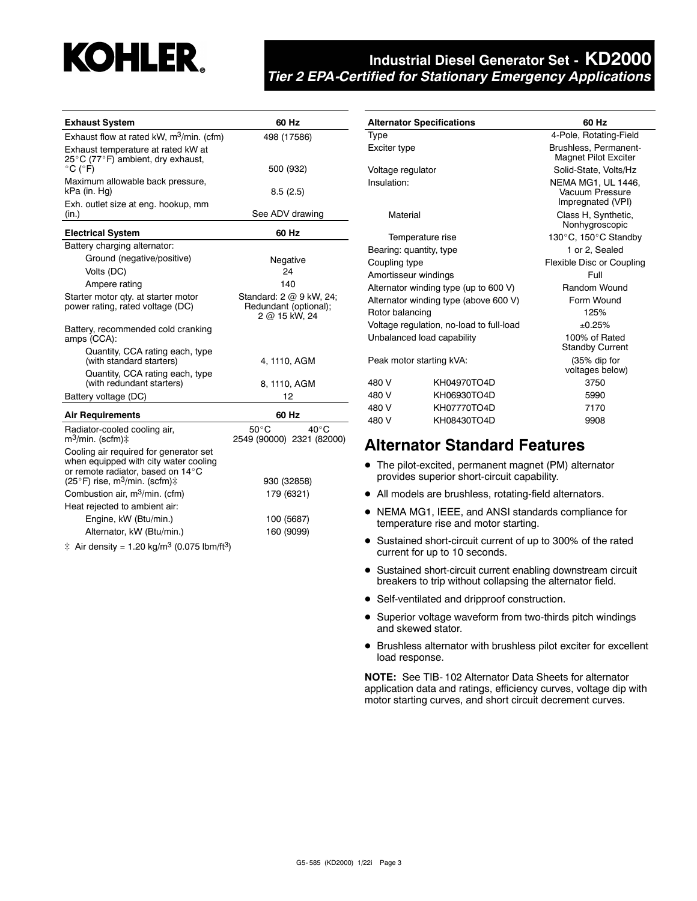

| <b>Exhaust System</b>                                                                                   | 60 Hz                                                             |
|---------------------------------------------------------------------------------------------------------|-------------------------------------------------------------------|
| Exhaust flow at rated kW, m <sup>3</sup> /min. (cfm)                                                    | 498 (17586)                                                       |
| Exhaust temperature at rated kW at                                                                      |                                                                   |
| 25°C (77°F) ambient, dry exhaust,<br>$^{\circ}$ C ( $^{\circ}$ F)                                       | 500 (932)                                                         |
| Maximum allowable back pressure,                                                                        |                                                                   |
| kPa (in. Hg)                                                                                            | 8.5(2.5)                                                          |
| Exh. outlet size at eng. hookup, mm<br>(in.)                                                            | See ADV drawing                                                   |
| <b>Electrical System</b>                                                                                | 60 Hz                                                             |
| Battery charging alternator:                                                                            |                                                                   |
| Ground (negative/positive)                                                                              | Negative                                                          |
| Volts (DC)                                                                                              | 24                                                                |
| Ampere rating                                                                                           | 140                                                               |
| Starter motor qty. at starter motor<br>power rating, rated voltage (DC)                                 | Standard: 2 @ 9 kW, 24;<br>Redundant (optional);<br>2 @ 15 kW, 24 |
| Battery, recommended cold cranking<br>amps (CCA):                                                       |                                                                   |
| Quantity, CCA rating each, type<br>(with standard starters)                                             | 4, 1110, AGM                                                      |
| Quantity, CCA rating each, type<br>(with redundant starters)                                            | 8, 1110, AGM                                                      |
| Battery voltage (DC)                                                                                    | 12                                                                |
| <b>Air Requirements</b>                                                                                 | 60 Hz                                                             |
| Radiator-cooled cooling air,<br>m <sup>3</sup> /min. (scfm)‡                                            | $50^{\circ}$ C<br>$40^{\circ}$ C<br>2549 (90000) 2321 (82000)     |
| Cooling air required for generator set<br>when equipped with city water cooling                         |                                                                   |
| or remote radiator, based on 14°C<br>(25°F) rise, m <sup>3</sup> /min. (scfm) $\ddagger$                | 930 (32858)                                                       |
| Combustion air, m <sup>3</sup> /min. (cfm)                                                              | 179 (6321)                                                        |
| Heat rejected to ambient air:                                                                           |                                                                   |
| Engine, kW (Btu/min.)                                                                                   | 100 (5687)                                                        |
| Alternator, kW (Btu/min.)                                                                               | 160 (9099)                                                        |
| $\mathbf{a}$ $\mathbf{a}$ $\mathbf{a}$ $\mathbf{a}$ $\mathbf{a}$ $\mathbf{a}$ $\mathbf{a}$ $\mathbf{a}$ |                                                                   |

 $\ddagger$  Air density = 1.20 kg/m<sup>3</sup> (0.075 lbm/ft<sup>3</sup>)

|                          | <b>Alternator Specifications</b>         | 60 Hz                                                      |  |  |
|--------------------------|------------------------------------------|------------------------------------------------------------|--|--|
| Type                     |                                          | 4-Pole, Rotating-Field                                     |  |  |
| Exciter type             |                                          | Brushless, Permanent-<br><b>Magnet Pilot Exciter</b>       |  |  |
| Voltage regulator        |                                          | Solid-State, Volts/Hz                                      |  |  |
| Insulation:              |                                          | NEMA MG1, UL 1446,<br>Vacuum Pressure<br>Impregnated (VPI) |  |  |
| Material                 |                                          | Class H, Synthetic,<br>Nonhygroscopic                      |  |  |
|                          | Temperature rise                         | 130°C, 150°C Standby                                       |  |  |
| Bearing: quantity, type  |                                          | 1 or 2. Sealed                                             |  |  |
| Coupling type            |                                          | Flexible Disc or Coupling                                  |  |  |
| Amortisseur windings     |                                          | Full                                                       |  |  |
|                          | Alternator winding type (up to 600 V)    | Random Wound                                               |  |  |
|                          | Alternator winding type (above 600 V)    | Form Wound                                                 |  |  |
| Rotor balancing          |                                          | 125%                                                       |  |  |
|                          | Voltage regulation, no-load to full-load | ±0.25%                                                     |  |  |
|                          | Unbalanced load capability               | 100% of Rated<br><b>Standby Current</b>                    |  |  |
| Peak motor starting kVA: |                                          | (35% dip for<br>voltages below)                            |  |  |
| 480 V                    | KH04970TO4D                              | 3750                                                       |  |  |
| 480 V                    | KH06930TO4D                              | 5990                                                       |  |  |
| 480 V<br>KH07770TO4D     |                                          | 7170                                                       |  |  |
| 480 V                    | KH08430TO4D                              | 9908                                                       |  |  |

# **Alternator Standard Features**

- The pilot-excited, permanent magnet (PM) alternator provides superior short-circuit capability.
- All models are brushless, rotating-field alternators.
- NEMA MG1, IEEE, and ANSI standards compliance for temperature rise and motor starting.
- Sustained short-circuit current of up to 300% of the rated current for up to 10 seconds.
- **•** Sustained short-circuit current enabling downstream circuit breakers to trip without collapsing the alternator field.
- Self-ventilated and dripproof construction.
- Superior voltage waveform from two-thirds pitch windings and skewed stator.
- Brushless alternator with brushless pilot exciter for excellent load response.

**NOTE:** See TIB- 102 Alternator Data Sheets for alternator application data and ratings, efficiency curves, voltage dip with motor starting curves, and short circuit decrement curves.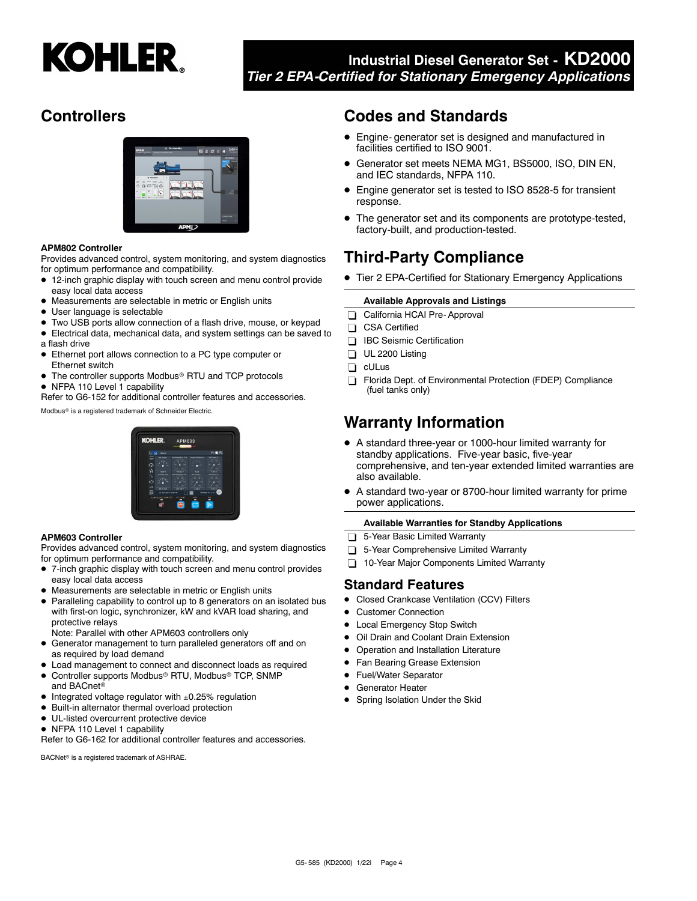

# **Controllers**



#### **APM802 Controller**

Provides advanced control, system monitoring, and system diagnostics for optimum performance and compatibility.

- 12-inch graphic display with touch screen and menu control provide easy local data access
- Measurements are selectable in metric or English units
- $\bullet$ User language is selectable
- Two USB ports allow connection of a flash drive, mouse, or keypad
- Electrical data, mechanical data, and system settings can be saved to a flash drive
- Ethernet port allows connection to a PC type computer or Ethernet switch
- The controller supports Modbus® RTU and TCP protocols
- NFPA 110 Level 1 capability

Refer to G6-152 for additional controller features and accessories.

Modbus<sup>®</sup> is a registered trademark of Schneider Electric.

# **KOHI ED**

#### **APM603 Controller**

Provides advanced control, system monitoring, and system diagnostics for optimum performance and compatibility.

- 7-inch graphic display with touch screen and menu control provides easy local data access
- Measurements are selectable in metric or English units
- Paralleling capability to control up to 8 generators on an isolated bus with first-on logic, synchronizer, kW and kVAR load sharing, and protective relays
- Note: Parallel with other APM603 controllers only
- Generator management to turn paralleled generators off and on as required by load demand
- Load management to connect and disconnect loads as required
- $\bullet$ Controller supports Modbus<sup>®</sup> RTU, Modbus<sup>®</sup> TCP, SNMP and BACnet
- Integrated voltage regulator with ±0.25% regulation
- $\bullet$ Built-in alternator thermal overload protection
- $\bullet$  UL-listed overcurrent protective device
- NFPA 110 Level 1 capability

Refer to G6-162 for additional controller features and accessories.

BACNet<sup>®</sup> is a registered trademark of ASHRAE.

# **Codes and Standards**

- Engine- generator set is designed and manufactured in facilities certified to ISO 9001.
- $\bullet$  Generator set meets NEMA MG1, BS5000, ISO, DIN EN, and IEC standards, NFPA 110.
- Engine generator set is tested to ISO 8528-5 for transient response.
- The generator set and its components are prototype-tested, factory-built, and production-tested.

# **Third-Party Compliance**

● Tier 2 EPA-Certified for Stationary Emergency Applications

#### **Available Approvals and Listings**

- California HCAI Pre- Approval
- CSA Certified
- **IBC** Seismic Certification
- UL 2200 Listing
- cULus
- Florida Dept. of Environmental Protection (FDEP) Compliance (fuel tanks only)

# **Warranty Information**

- A standard three-year or 1000-hour limited warranty for standby applications. Five-year basic, five-year comprehensive, and ten-year extended limited warranties are also available.
- $\bullet$  A standard two-year or 8700-hour limited warranty for prime power applications.

#### **Available Warranties for Standby Applications**

- 5-Year Basic Limited Warranty
- 5-Year Comprehensive Limited Warranty
- 10-Year Major Components Limited Warranty

#### **Standard Features**

- **•** Closed Crankcase Ventilation (CCV) Filters
- $\bullet$ Customer Connection
- $\bullet$ Local Emergency Stop Switch
- $\bullet$ Oil Drain and Coolant Drain Extension
- $\bullet$ Operation and Installation Literature
- $\bullet$ Fan Bearing Grease Extension
- Fuel/Water Separator
- **•** Generator Heater
- **•** Spring Isolation Under the Skid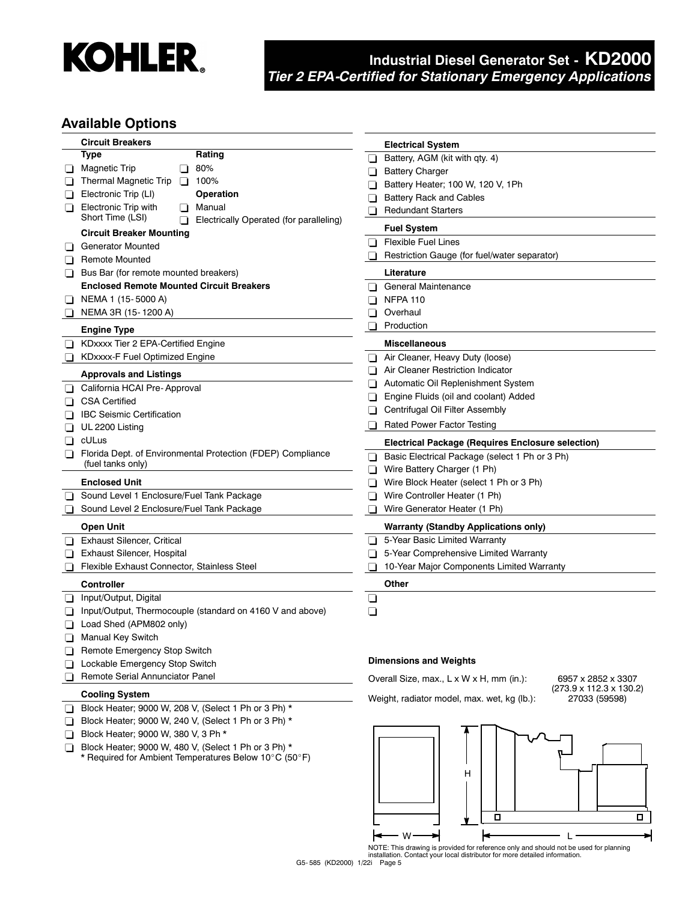

### **Available Options**

|                | <b>Circuit Breakers</b>                                                          | <b>Electrical System</b>                                                                            |
|----------------|----------------------------------------------------------------------------------|-----------------------------------------------------------------------------------------------------|
|                | Type<br>Rating                                                                   | Battery, AGM (kit with qty. 4)<br>⊔                                                                 |
| ப              | 80%<br><b>Magnetic Trip</b><br>Π                                                 | <b>Battery Charger</b><br>⊔                                                                         |
|                | Thermal Magnetic Trip<br>100%<br>$\Box$                                          | Battery Heater; 100 W, 120 V, 1Ph<br>ப                                                              |
|                | Electronic Trip (LI)<br>Operation                                                | <b>Battery Rack and Cables</b><br>❏                                                                 |
| ப              | <b>Electronic Trip with</b><br>Manual                                            | <b>Redundant Starters</b>                                                                           |
|                | Short Time (LSI)<br>Electrically Operated (for paralleling)                      | $\Box$                                                                                              |
|                | <b>Circuit Breaker Mounting</b>                                                  | <b>Fuel System</b>                                                                                  |
|                | <b>Generator Mounted</b>                                                         | <b>Flexible Fuel Lines</b><br>ப                                                                     |
| $\blacksquare$ | <b>Remote Mounted</b>                                                            | Restriction Gauge (for fuel/water separator)                                                        |
| ப              | Bus Bar (for remote mounted breakers)                                            | Literature                                                                                          |
|                | <b>Enclosed Remote Mounted Circuit Breakers</b>                                  | General Maintenance<br>$\mathbf{L}$                                                                 |
| ப              | NEMA 1 (15-5000 A)                                                               | <b>NFPA 110</b><br>ப                                                                                |
|                | NEMA 3R (15-1200 A)                                                              | Overhaul                                                                                            |
|                | <b>Engine Type</b>                                                               | Production<br>⊔                                                                                     |
|                | KDxxxx Tier 2 EPA-Certified Engine                                               | <b>Miscellaneous</b>                                                                                |
|                | KDxxxx-F Fuel Optimized Engine                                                   | Air Cleaner, Heavy Duty (loose)<br>⊔                                                                |
|                | <b>Approvals and Listings</b>                                                    | Air Cleaner Restriction Indicator                                                                   |
|                | California HCAI Pre-Approval                                                     | Automatic Oil Replenishment System                                                                  |
|                | <b>CSA Certified</b>                                                             | Engine Fluids (oil and coolant) Added<br>LΙ                                                         |
|                |                                                                                  | Centrifugal Oil Filter Assembly                                                                     |
|                | <b>IBC Seismic Certification</b>                                                 | <b>Rated Power Factor Testing</b>                                                                   |
| ப              | UL 2200 Listing                                                                  |                                                                                                     |
| H              | cULus                                                                            | <b>Electrical Package (Requires Enclosure selection)</b>                                            |
| $\perp$        | Florida Dept. of Environmental Protection (FDEP) Compliance<br>(fuel tanks only) | Basic Electrical Package (select 1 Ph or 3 Ph)<br>$\blacksquare$                                    |
|                |                                                                                  | Wire Battery Charger (1 Ph)<br>ப                                                                    |
|                | <b>Enclosed Unit</b>                                                             | Wire Block Heater (select 1 Ph or 3 Ph)<br>ப                                                        |
|                | Sound Level 1 Enclosure/Fuel Tank Package                                        | Wire Controller Heater (1 Ph)<br>⊔                                                                  |
|                | Sound Level 2 Enclosure/Fuel Tank Package                                        | Wire Generator Heater (1 Ph)<br>ப                                                                   |
|                | <b>Open Unit</b>                                                                 | <b>Warranty (Standby Applications only)</b>                                                         |
| Π              | <b>Exhaust Silencer, Critical</b>                                                | 5-Year Basic Limited Warranty                                                                       |
| ப              | Exhaust Silencer, Hospital                                                       | 5-Year Comprehensive Limited Warranty<br>ப                                                          |
|                | Flexible Exhaust Connector, Stainless Steel                                      | 10-Year Major Components Limited Warranty<br>П                                                      |
|                | <b>Controller</b>                                                                | Other                                                                                               |
| ப              | Input/Output, Digital                                                            | ❏                                                                                                   |
|                | Input/Output, Thermocouple (standard on 4160 V and above)                        | ❏                                                                                                   |
|                | Load Shed (APM802 only)                                                          |                                                                                                     |
| ΠI             | <b>Manual Key Switch</b>                                                         |                                                                                                     |
|                | Remote Emergency Stop Switch                                                     |                                                                                                     |
|                | Lockable Emergency Stop Switch                                                   | <b>Dimensions and Weights</b>                                                                       |
|                | Remote Serial Annunciator Panel                                                  | Overall Size, max., L x W x H, mm (in.):<br>6957 x 2852 x 3307                                      |
|                | <b>Cooling System</b>                                                            | $(273.9 \times 112.3 \times 130.2)$<br>Weight, radiator model, max. wet, kg (lb.):<br>27033 (59598) |
| ப              | Block Heater; 9000 W, 208 V, (Select 1 Ph or 3 Ph) *                             |                                                                                                     |
|                | Block Heater; 9000 W, 240 V, (Select 1 Ph or 3 Ph) *                             |                                                                                                     |
| $\mathbf{L}$   | Block Heater; 9000 W, 380 V, 3 Ph *                                              |                                                                                                     |
| ப              | Block Heater; 9000 W, 480 V, (Select 1 Ph or 3 Ph) *                             |                                                                                                     |
|                | * Required for Ambient Temperatures Below 10°C (50°F)                            |                                                                                                     |
|                |                                                                                  | Н                                                                                                   |
|                |                                                                                  |                                                                                                     |



NOTE: This drawing is provided for reference only and should not be used for planning installation. Contact your local distributor for more detailed information.